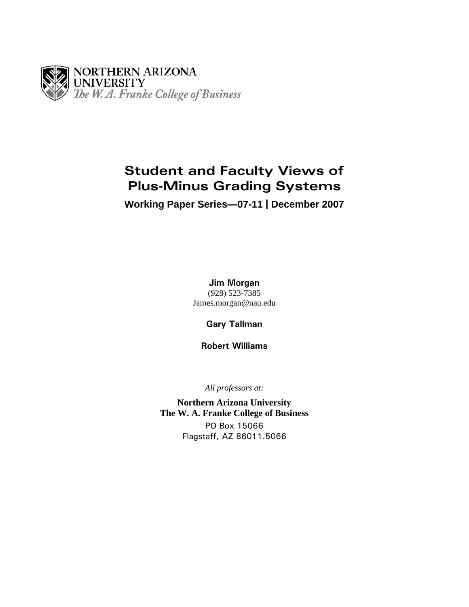

# **Student and Faculty Views of Plus-Minus Grading Systems**

**Working Paper Series—07-11 | December 2007** 

**Jim Morgan** (928) 523-7385 James.morgan@nau.edu

**Gary Tallman** 

**Robert Williams**

*All professors at:* 

**Northern Arizona University The W. A. Franke College of Business**  PO Box 15066 Flagstaff, AZ 86011.5066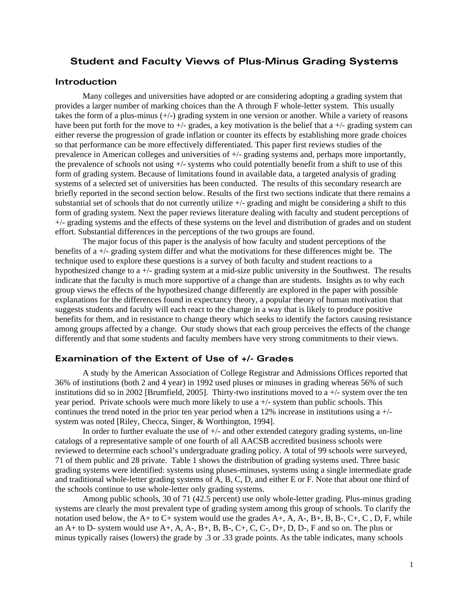# **Student and Faculty Views of Plus-Minus Grading Systems**

# **Introduction**

Many colleges and universities have adopted or are considering adopting a grading system that provides a larger number of marking choices than the A through F whole-letter system. This usually takes the form of a plus-minus (+/-) grading system in one version or another. While a variety of reasons have been put forth for the move to  $+/-$  grades, a key motivation is the belief that a  $+/-$  grading system can either reverse the progression of grade inflation or counter its effects by establishing more grade choices so that performance can be more effectively differentiated. This paper first reviews studies of the prevalence in American colleges and universities of +/- grading systems and, perhaps more importantly, the prevalence of schools not using +/- systems who could potentially benefit from a shift to use of this form of grading system. Because of limitations found in available data, a targeted analysis of grading systems of a selected set of universities has been conducted. The results of this secondary research are briefly reported in the second section below. Results of the first two sections indicate that there remains a substantial set of schools that do not currently utilize +/- grading and might be considering a shift to this form of grading system. Next the paper reviews literature dealing with faculty and student perceptions of +/- grading systems and the effects of these systems on the level and distribution of grades and on student effort. Substantial differences in the perceptions of the two groups are found.

The major focus of this paper is the analysis of how faculty and student perceptions of the benefits of a +/- grading system differ and what the motivations for these differences might be. The technique used to explore these questions is a survey of both faculty and student reactions to a hypothesized change to a +/- grading system at a mid-size public university in the Southwest. The results indicate that the faculty is much more supportive of a change than are students. Insights as to why each group views the effects of the hypothesized change differently are explored in the paper with possible explanations for the differences found in expectancy theory, a popular theory of human motivation that suggests students and faculty will each react to the change in a way that is likely to produce positive benefits for them, and in resistance to change theory which seeks to identify the factors causing resistance among groups affected by a change. Our study shows that each group perceives the effects of the change differently and that some students and faculty members have very strong commitments to their views.

# **Examination of the Extent of Use of +/- Grades**

A study by the American Association of College Registrar and Admissions Offices reported that 36% of institutions (both 2 and 4 year) in 1992 used pluses or minuses in grading whereas 56% of such institutions did so in 2002 [Brumfield, 2005]. Thirty-two institutions moved to  $a +/2$  system over the ten year period. Private schools were much more likely to use  $a +/2$  system than public schools. This continues the trend noted in the prior ten year period when a 12% increase in institutions using a  $+/$ system was noted [Riley, Checca, Singer, & Worthington, 1994].

In order to further evaluate the use of  $+/-$  and other extended category grading systems, on-line catalogs of a representative sample of one fourth of all AACSB accredited business schools were reviewed to determine each school's undergraduate grading policy. A total of 99 schools were surveyed, 71 of them public and 28 private. Table 1 shows the distribution of grading systems used. Three basic grading systems were identified: systems using pluses-minuses, systems using a single intermediate grade and traditional whole-letter grading systems of A, B, C, D, and either E or F. Note that about one third of the schools continue to use whole-letter only grading systems.

Among public schools, 30 of 71 (42.5 percent) use only whole-letter grading. Plus-minus grading systems are clearly the most prevalent type of grading system among this group of schools. To clarify the notation used below, the A+ to C+ system would use the grades A+, A, A-, B+, B, B-, C+, C , D, F, while an  $A+$  to  $D-$  system would use  $A+$ ,  $A$ ,  $A-$ ,  $B+$ ,  $B$ ,  $B-$ ,  $C+$ ,  $C$ ,  $C-$ ,  $D+$ ,  $D$ ,  $D-$ ,  $F$  and so on. The plus or minus typically raises (lowers) the grade by .3 or .33 grade points. As the table indicates, many schools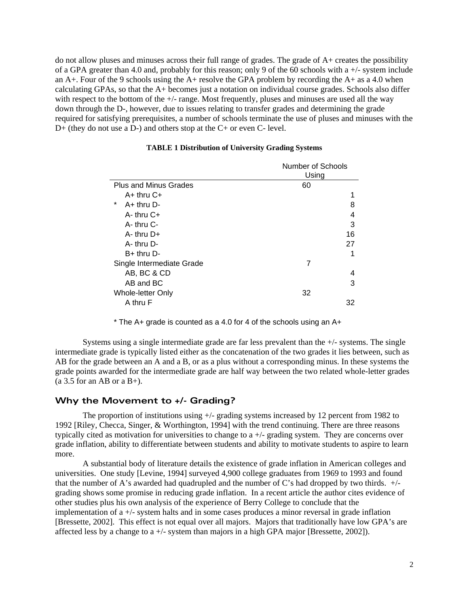do not allow pluses and minuses across their full range of grades. The grade of A+ creates the possibility of a GPA greater than 4.0 and, probably for this reason; only 9 of the 60 schools with a +/- system include an A+. Four of the 9 schools using the A+ resolve the GPA problem by recording the A+ as a 4.0 when calculating GPAs, so that the A+ becomes just a notation on individual course grades. Schools also differ with respect to the bottom of the  $+/-$  range. Most frequently, pluses and minuses are used all the way down through the D-, however, due to issues relating to transfer grades and determining the grade required for satisfying prerequisites, a number of schools terminate the use of pluses and minuses with the D+ (they do not use a D-) and others stop at the C+ or even C- level.

|                              | Number of Schools |
|------------------------------|-------------------|
|                              | Using             |
| <b>Plus and Minus Grades</b> | 60                |
| $A+$ thru $C+$               |                   |
| $\star$<br>$A+$ thru D-      | 8                 |
| $A-$ thru $C+$               | 4                 |
| $A-$ thru $C-$               | 3                 |
| $A-$ thru $D+$               | 16                |
| $A - thru D -$               | 27                |
| $B+$ thru $D-$               | 1                 |
| Single Intermediate Grade    | 7                 |
| AB, BC & CD                  |                   |
| AB and BC                    | 3                 |
| Whole-letter Only            | 32                |
| A thru F                     | 32                |

# **TABLE 1 Distribution of University Grading Systems**

 $*$  The A+ grade is counted as a 4.0 for 4 of the schools using an A+

Systems using a single intermediate grade are far less prevalent than the  $+/-$  systems. The single intermediate grade is typically listed either as the concatenation of the two grades it lies between, such as AB for the grade between an A and a B, or as a plus without a corresponding minus. In these systems the grade points awarded for the intermediate grade are half way between the two related whole-letter grades  $(a 3.5$  for an AB or a B+).

# **Why the Movement to +/- Grading?**

The proportion of institutions using  $+\prime$ - grading systems increased by 12 percent from 1982 to 1992 [Riley, Checca, Singer, & Worthington, 1994] with the trend continuing. There are three reasons typically cited as motivation for universities to change to a +/- grading system. They are concerns over grade inflation, ability to differentiate between students and ability to motivate students to aspire to learn more.

A substantial body of literature details the existence of grade inflation in American colleges and universities. One study [Levine, 1994] surveyed 4,900 college graduates from 1969 to 1993 and found that the number of A's awarded had quadrupled and the number of C's had dropped by two thirds. +/ grading shows some promise in reducing grade inflation. In a recent article the author cites evidence of other studies plus his own analysis of the experience of Berry College to conclude that the implementation of a +/- system halts and in some cases produces a minor reversal in grade inflation [Bressette, 2002]. This effect is not equal over all majors. Majors that traditionally have low GPA's are affected less by a change to a +/- system than majors in a high GPA major [Bressette, 2002]).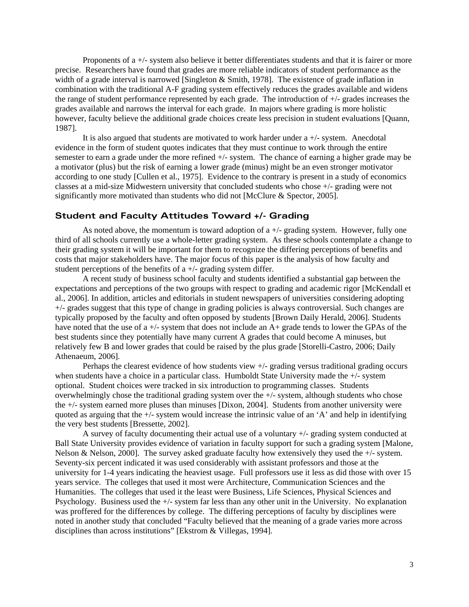Proponents of a +/- system also believe it better differentiates students and that it is fairer or more precise. Researchers have found that grades are more reliable indicators of student performance as the width of a grade interval is narrowed [Singleton & Smith, 1978]. The existence of grade inflation in combination with the traditional A-F grading system effectively reduces the grades available and widens the range of student performance represented by each grade. The introduction of +/- grades increases the grades available and narrows the interval for each grade. In majors where grading is more holistic however, faculty believe the additional grade choices create less precision in student evaluations [Quann, 1987].

It is also argued that students are motivated to work harder under a +/- system. Anecdotal evidence in the form of student quotes indicates that they must continue to work through the entire semester to earn a grade under the more refined +/- system. The chance of earning a higher grade may be a motivator (plus) but the risk of earning a lower grade (minus) might be an even stronger motivator according to one study [Cullen et al., 1975]. Evidence to the contrary is present in a study of economics classes at a mid-size Midwestern university that concluded students who chose +/- grading were not significantly more motivated than students who did not [McClure & Spector, 2005].

## **Student and Faculty Attitudes Toward +/- Grading**

As noted above, the momentum is toward adoption of  $a +/-$  grading system. However, fully one third of all schools currently use a whole-letter grading system. As these schools contemplate a change to their grading system it will be important for them to recognize the differing perceptions of benefits and costs that major stakeholders have. The major focus of this paper is the analysis of how faculty and student perceptions of the benefits of  $a +/-$  grading system differ.

A recent study of business school faculty and students identified a substantial gap between the expectations and perceptions of the two groups with respect to grading and academic rigor [McKendall et al., 2006]. In addition, articles and editorials in student newspapers of universities considering adopting +/- grades suggest that this type of change in grading policies is always controversial. Such changes are typically proposed by the faculty and often opposed by students [Brown Daily Herald, 2006]. Students have noted that the use of a  $+/-$  system that does not include an A+ grade tends to lower the GPAs of the best students since they potentially have many current A grades that could become A minuses, but relatively few B and lower grades that could be raised by the plus grade [Storelli-Castro, 2006; Daily Athenaeum, 2006].

Perhaps the clearest evidence of how students view +/- grading versus traditional grading occurs when students have a choice in a particular class. Humboldt State University made the +/- system optional. Student choices were tracked in six introduction to programming classes. Students overwhelmingly chose the traditional grading system over the +/- system, although students who chose the +/- system earned more pluses than minuses [Dixon, 2004]. Students from another university were quoted as arguing that the  $+\sqrt{\ }$ - system would increase the intrinsic value of an 'A' and help in identifying the very best students [Bressette, 2002].

A survey of faculty documenting their actual use of a voluntary +/- grading system conducted at Ball State University provides evidence of variation in faculty support for such a grading system [Malone, Nelson & Nelson, 2000]. The survey asked graduate faculty how extensively they used the  $+/-$  system. Seventy-six percent indicated it was used considerably with assistant professors and those at the university for 1-4 years indicating the heaviest usage. Full professors use it less as did those with over 15 years service. The colleges that used it most were Architecture, Communication Sciences and the Humanities. The colleges that used it the least were Business, Life Sciences, Physical Sciences and Psychology. Business used the +/- system far less than any other unit in the University. No explanation was proffered for the differences by college. The differing perceptions of faculty by disciplines were noted in another study that concluded "Faculty believed that the meaning of a grade varies more across disciplines than across institutions" [Ekstrom & Villegas, 1994].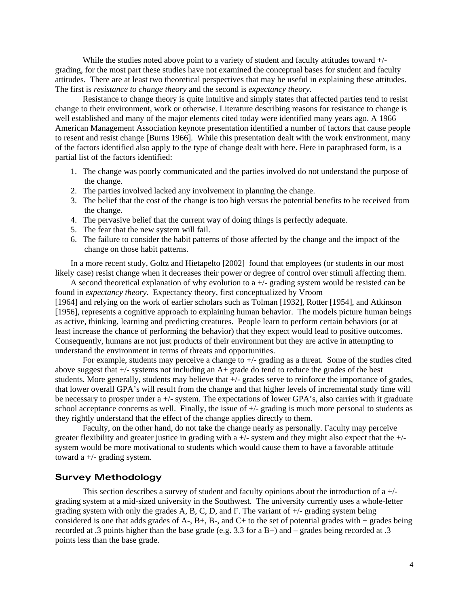While the studies noted above point to a variety of student and faculty attitudes toward  $+/$ grading, for the most part these studies have not examined the conceptual bases for student and faculty attitudes. There are at least two theoretical perspectives that may be useful in explaining these attitudes. The first is *resistance to change theory* and the second is *expectancy theory*.

 Resistance to change theory is quite intuitive and simply states that affected parties tend to resist change to their environment, work or otherwise. Literature describing reasons for resistance to change is well established and many of the major elements cited today were identified many years ago. A 1966 American Management Association keynote presentation identified a number of factors that cause people to resent and resist change [Burns 1966]. While this presentation dealt with the work environment, many of the factors identified also apply to the type of change dealt with here. Here in paraphrased form, is a partial list of the factors identified:

- 1. The change was poorly communicated and the parties involved do not understand the purpose of the change.
- 2. The parties involved lacked any involvement in planning the change.
- 3. The belief that the cost of the change is too high versus the potential benefits to be received from the change.
- 4. The pervasive belief that the current way of doing things is perfectly adequate.
- 5. The fear that the new system will fail.
- 6. The failure to consider the habit patterns of those affected by the change and the impact of the change on those habit patterns.

In a more recent study, Goltz and Hietapelto [2002] found that employees (or students in our most likely case) resist change when it decreases their power or degree of control over stimuli affecting them.

A second theoretical explanation of why evolution to a +/- grading system would be resisted can be found in *expectancy theory*. Expectancy theory, first conceptualized by Vroom [1964] and relying on the work of earlier scholars such as Tolman [1932], Rotter [1954], and Atkinson [1956], represents a cognitive approach to explaining human behavior. The models picture human beings as active, thinking, learning and predicting creatures. People learn to perform certain behaviors (or at least increase the chance of performing the behavior) that they expect would lead to positive outcomes. Consequently, humans are not just products of their environment but they are active in attempting to understand the environment in terms of threats and opportunities.

For example, students may perceive a change to  $+/-$  grading as a threat. Some of the studies cited above suggest that  $+/-$  systems not including an  $A+$  grade do tend to reduce the grades of the best students. More generally, students may believe that +/- grades serve to reinforce the importance of grades, that lower overall GPA's will result from the change and that higher levels of incremental study time will be necessary to prosper under a +/- system. The expectations of lower GPA's, also carries with it graduate school acceptance concerns as well. Finally, the issue of  $+/-$  grading is much more personal to students as they rightly understand that the effect of the change applies directly to them.

 Faculty, on the other hand, do not take the change nearly as personally. Faculty may perceive greater flexibility and greater justice in grading with a +/- system and they might also expect that the +/ system would be more motivational to students which would cause them to have a favorable attitude toward a +/- grading system.

# **Survey Methodology**

This section describes a survey of student and faculty opinions about the introduction of  $a +/$ grading system at a mid-sized university in the Southwest. The university currently uses a whole-letter grading system with only the grades A, B, C, D, and F. The variant of  $+/-$  grading system being considered is one that adds grades of A-,  $B<sub>+</sub>$ ,  $B<sub>-</sub>$ , and  $C<sub>+</sub>$  to the set of potential grades with + grades being recorded at .3 points higher than the base grade (e.g. 3.3 for a B+) and – grades being recorded at .3 points less than the base grade.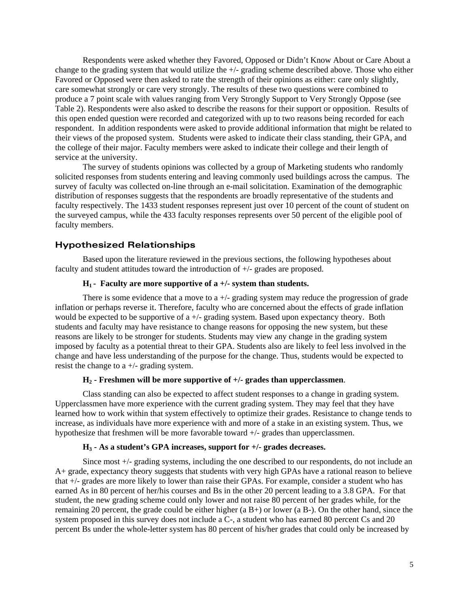Respondents were asked whether they Favored, Opposed or Didn't Know About or Care About a change to the grading system that would utilize the +/- grading scheme described above. Those who either Favored or Opposed were then asked to rate the strength of their opinions as either: care only slightly, care somewhat strongly or care very strongly. The results of these two questions were combined to produce a 7 point scale with values ranging from Very Strongly Support to Very Strongly Oppose (see Table 2). Respondents were also asked to describe the reasons for their support or opposition. Results of this open ended question were recorded and categorized with up to two reasons being recorded for each respondent. In addition respondents were asked to provide additional information that might be related to their views of the proposed system. Students were asked to indicate their class standing, their GPA, and the college of their major. Faculty members were asked to indicate their college and their length of service at the university.

The survey of students opinions was collected by a group of Marketing students who randomly solicited responses from students entering and leaving commonly used buildings across the campus. The survey of faculty was collected on-line through an e-mail solicitation. Examination of the demographic distribution of responses suggests that the respondents are broadly representative of the students and faculty respectively. The 1433 student responses represent just over 10 percent of the count of student on the surveyed campus, while the 433 faculty responses represents over 50 percent of the eligible pool of faculty members.

# **Hypothesized Relationships**

Based upon the literature reviewed in the previous sections, the following hypotheses about faculty and student attitudes toward the introduction of +/- grades are proposed.

# **H1 - Faculty are more supportive of a +/- system than students.**

There is some evidence that a move to a  $+/-$  grading system may reduce the progression of grade inflation or perhaps reverse it. Therefore, faculty who are concerned about the effects of grade inflation would be expected to be supportive of  $a +/-$  grading system. Based upon expectancy theory. Both students and faculty may have resistance to change reasons for opposing the new system, but these reasons are likely to be stronger for students. Students may view any change in the grading system imposed by faculty as a potential threat to their GPA. Students also are likely to feel less involved in the change and have less understanding of the purpose for the change. Thus, students would be expected to resist the change to a +/- grading system.

#### **H2 - Freshmen will be more supportive of +/- grades than upperclassmen**.

Class standing can also be expected to affect student responses to a change in grading system. Upperclassmen have more experience with the current grading system. They may feel that they have learned how to work within that system effectively to optimize their grades. Resistance to change tends to increase, as individuals have more experience with and more of a stake in an existing system. Thus, we hypothesize that freshmen will be more favorable toward +/- grades than upperclassmen.

## **H3 - As a student's GPA increases, support for +/- grades decreases.**

Since most +/- grading systems, including the one described to our respondents, do not include an A+ grade, expectancy theory suggests that students with very high GPAs have a rational reason to believe that +/- grades are more likely to lower than raise their GPAs. For example, consider a student who has earned As in 80 percent of her/his courses and Bs in the other 20 percent leading to a 3.8 GPA. For that student, the new grading scheme could only lower and not raise 80 percent of her grades while, for the remaining 20 percent, the grade could be either higher (a B+) or lower (a B-). On the other hand, since the system proposed in this survey does not include a C-, a student who has earned 80 percent Cs and 20 percent Bs under the whole-letter system has 80 percent of his/her grades that could only be increased by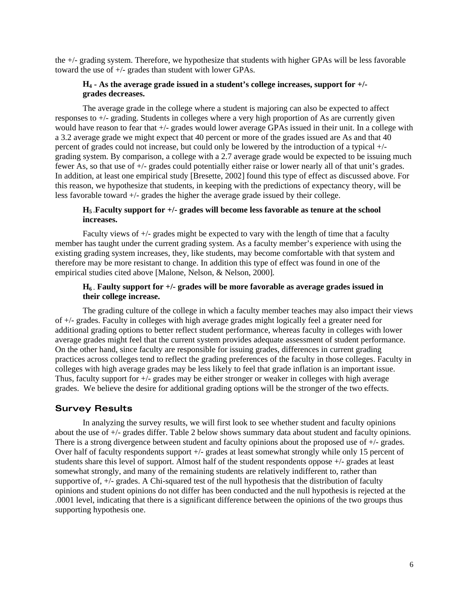the +/- grading system. Therefore, we hypothesize that students with higher GPAs will be less favorable toward the use of +/- grades than student with lower GPAs.

# **H4 - As the average grade issued in a student's college increases, support for +/ grades decreases.**

The average grade in the college where a student is majoring can also be expected to affect responses to +/- grading. Students in colleges where a very high proportion of As are currently given would have reason to fear that +/- grades would lower average GPAs issued in their unit. In a college with a 3.2 average grade we might expect that 40 percent or more of the grades issued are As and that 40 percent of grades could not increase, but could only be lowered by the introduction of a typical +/ grading system. By comparison, a college with a 2.7 average grade would be expected to be issuing much fewer As, so that use of +/- grades could potentially either raise or lower nearly all of that unit's grades. In addition, at least one empirical study [Bresette, 2002] found this type of effect as discussed above. For this reason, we hypothesize that students, in keeping with the predictions of expectancy theory, will be less favorable toward +/- grades the higher the average grade issued by their college.

# **H5 -Faculty support for +/- grades will become less favorable as tenure at the school increases.**

Faculty views of +/- grades might be expected to vary with the length of time that a faculty member has taught under the current grading system. As a faculty member's experience with using the existing grading system increases, they, like students, may become comfortable with that system and therefore may be more resistant to change. In addition this type of effect was found in one of the empirical studies cited above [Malone, Nelson, & Nelson, 2000].

# **H6 - Faulty support for +/- grades will be more favorable as average grades issued in their college increase.**

The grading culture of the college in which a faculty member teaches may also impact their views of +/- grades. Faculty in colleges with high average grades might logically feel a greater need for additional grading options to better reflect student performance, whereas faculty in colleges with lower average grades might feel that the current system provides adequate assessment of student performance. On the other hand, since faculty are responsible for issuing grades, differences in current grading practices across colleges tend to reflect the grading preferences of the faculty in those colleges. Faculty in colleges with high average grades may be less likely to feel that grade inflation is an important issue. Thus, faculty support for +/- grades may be either stronger or weaker in colleges with high average grades. We believe the desire for additional grading options will be the stronger of the two effects.

# **Survey Results**

 In analyzing the survey results, we will first look to see whether student and faculty opinions about the use of +/- grades differ. Table 2 below shows summary data about student and faculty opinions. There is a strong divergence between student and faculty opinions about the proposed use of +/- grades. Over half of faculty respondents support +/- grades at least somewhat strongly while only 15 percent of students share this level of support. Almost half of the student respondents oppose +/- grades at least somewhat strongly, and many of the remaining students are relatively indifferent to, rather than supportive of, +/- grades. A Chi-squared test of the null hypothesis that the distribution of faculty opinions and student opinions do not differ has been conducted and the null hypothesis is rejected at the .0001 level, indicating that there is a significant difference between the opinions of the two groups thus supporting hypothesis one.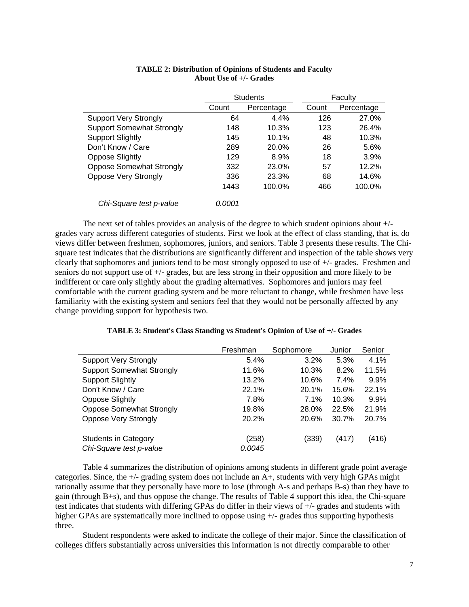|                                  | <b>Students</b> |            |       | Faculty    |
|----------------------------------|-----------------|------------|-------|------------|
|                                  | Count           | Percentage | Count | Percentage |
| <b>Support Very Strongly</b>     | 64              | 4.4%       | 126   | 27.0%      |
| <b>Support Somewhat Strongly</b> | 148             | 10.3%      | 123   | 26.4%      |
| <b>Support Slightly</b>          | 145             | 10.1%      | 48    | 10.3%      |
| Don't Know / Care                | 289             | 20.0%      | 26    | 5.6%       |
| <b>Oppose Slightly</b>           | 129             | 8.9%       | 18    | 3.9%       |
| <b>Oppose Somewhat Strongly</b>  | 332             | 23.0%      | 57    | 12.2%      |
| Oppose Very Strongly             | 336             | 23.3%      | 68    | 14.6%      |
|                                  | 1443            | 100.0%     | 466   | 100.0%     |
| Chi-Square test p-value          | 0.0001          |            |       |            |

# **TABLE 2: Distribution of Opinions of Students and Faculty About Use of +/- Grades**

 The next set of tables provides an analysis of the degree to which student opinions about +/ grades vary across different categories of students. First we look at the effect of class standing, that is, do views differ between freshmen, sophomores, juniors, and seniors. Table 3 presents these results. The Chisquare test indicates that the distributions are significantly different and inspection of the table shows very clearly that sophomores and juniors tend to be most strongly opposed to use of +/- grades. Freshmen and seniors do not support use of +/- grades, but are less strong in their opposition and more likely to be indifferent or care only slightly about the grading alternatives. Sophomores and juniors may feel comfortable with the current grading system and be more reluctant to change, while freshmen have less familiarity with the existing system and seniors feel that they would not be personally affected by any change providing support for hypothesis two.

| TABLE 3: Student's Class Standing vs Student's Opinion of Use of +/- Grades |  |  |  |  |
|-----------------------------------------------------------------------------|--|--|--|--|
|-----------------------------------------------------------------------------|--|--|--|--|

|                                  | Freshman | Sophomore | Junior | Senior  |
|----------------------------------|----------|-----------|--------|---------|
| <b>Support Very Strongly</b>     | 5.4%     | 3.2%      | 5.3%   | 4.1%    |
| <b>Support Somewhat Strongly</b> | 11.6%    | 10.3%     | 8.2%   | 11.5%   |
| <b>Support Slightly</b>          | 13.2%    | 10.6%     | 7.4%   | $9.9\%$ |
| Don't Know / Care                | 22.1%    | 20.1%     | 15.6%  | 22.1%   |
| <b>Oppose Slightly</b>           | 7.8%     | 7.1%      | 10.3%  | $9.9\%$ |
| <b>Oppose Somewhat Strongly</b>  | 19.8%    | 28.0%     | 22.5%  | 21.9%   |
| <b>Oppose Very Strongly</b>      | 20.2%    | 20.6%     | 30.7%  | 20.7%   |
| <b>Students in Category</b>      | (258)    | (339)     | (417)  | (416)   |
| Chi-Square test p-value          | 0.0045   |           |        |         |

Table 4 summarizes the distribution of opinions among students in different grade point average categories. Since, the +/- grading system does not include an A+, students with very high GPAs might rationally assume that they personally have more to lose (through A-s and perhaps B-s) than they have to gain (through B+s), and thus oppose the change. The results of Table 4 support this idea, the Chi-square test indicates that students with differing GPAs do differ in their views of +/- grades and students with higher GPAs are systematically more inclined to oppose using  $+/-$  grades thus supporting hypothesis three.

Student respondents were asked to indicate the college of their major. Since the classification of colleges differs substantially across universities this information is not directly comparable to other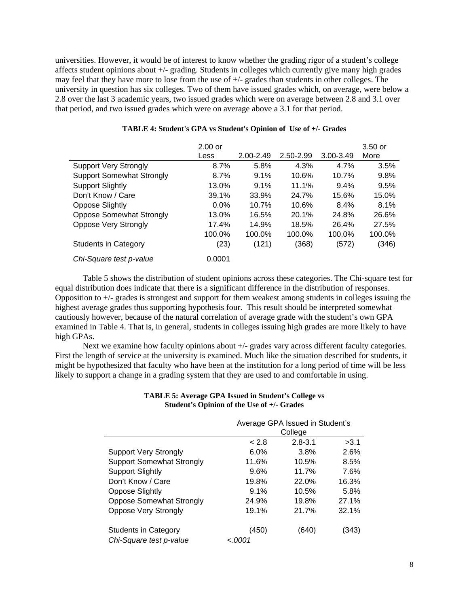universities. However, it would be of interest to know whether the grading rigor of a student's college affects student opinions about +/- grading. Students in colleges which currently give many high grades may feel that they have more to lose from the use of +/- grades than students in other colleges. The university in question has six colleges. Two of them have issued grades which, on average, were below a 2.8 over the last 3 academic years, two issued grades which were on average between 2.8 and 3.1 over that period, and two issued grades which were on average above a 3.1 for that period.

|                                  | $2.00$ or<br>Less | 2.00-2.49 | 2.50-2.99 | $3.00 - 3.49$ | $3.50$ or<br>More |
|----------------------------------|-------------------|-----------|-----------|---------------|-------------------|
| <b>Support Very Strongly</b>     | 8.7%              | 5.8%      | 4.3%      | 4.7%          | 3.5%              |
| <b>Support Somewhat Strongly</b> | 8.7%              | 9.1%      | 10.6%     | 10.7%         | 9.8%              |
| <b>Support Slightly</b>          | 13.0%             | 9.1%      | 11.1%     | 9.4%          | 9.5%              |
| Don't Know / Care                | 39.1%             | 33.9%     | 24.7%     | 15.6%         | 15.0%             |
| Oppose Slightly                  | $0.0\%$           | 10.7%     | 10.6%     | 8.4%          | 8.1%              |
| <b>Oppose Somewhat Strongly</b>  | 13.0%             | 16.5%     | 20.1%     | 24.8%         | 26.6%             |
| <b>Oppose Very Strongly</b>      | 17.4%             | 14.9%     | 18.5%     | 26.4%         | 27.5%             |
|                                  | 100.0%            | 100.0%    | 100.0%    | 100.0%        | 100.0%            |
| <b>Students in Category</b>      | (23)              | (121)     | (368)     | (572)         | (346)             |
| Chi-Square test p-value          | 0.0001            |           |           |               |                   |

# **TABLE 4: Student's GPA vs Student's Opinion of Use of +/- Grades**

Table 5 shows the distribution of student opinions across these categories. The Chi-square test for equal distribution does indicate that there is a significant difference in the distribution of responses. Opposition to +/- grades is strongest and support for them weakest among students in colleges issuing the highest average grades thus supporting hypothesis four. This result should be interpreted somewhat cautiously however, because of the natural correlation of average grade with the student's own GPA examined in Table 4. That is, in general, students in colleges issuing high grades are more likely to have high GPAs.

Next we examine how faculty opinions about  $+/-$  grades vary across different faculty categories. First the length of service at the university is examined. Much like the situation described for students, it might be hypothesized that faculty who have been at the institution for a long period of time will be less likely to support a change in a grading system that they are used to and comfortable in using.

|                                                        | Average GPA Issued in Student's<br>College |             |       |
|--------------------------------------------------------|--------------------------------------------|-------------|-------|
|                                                        | < 2.8                                      | $2.8 - 3.1$ | >3.1  |
| <b>Support Very Strongly</b>                           | 6.0%                                       | 3.8%        | 2.6%  |
| <b>Support Somewhat Strongly</b>                       | 11.6%                                      | 10.5%       | 8.5%  |
| <b>Support Slightly</b>                                | 9.6%                                       | 11.7%       | 7.6%  |
| Don't Know / Care                                      | 19.8%                                      | 22.0%       | 16.3% |
| <b>Oppose Slightly</b>                                 | 9.1%                                       | 10.5%       | 5.8%  |
| <b>Oppose Somewhat Strongly</b>                        | 24.9%                                      | 19.8%       | 27.1% |
| <b>Oppose Very Strongly</b>                            | 19.1%                                      | 21.7%       | 32.1% |
| <b>Students in Category</b><br>Chi-Square test p-value | (450)<br>1,000 >                           | (640)       | (343) |

### **TABLE 5: Average GPA Issued in Student's College vs Student's Opinion of the Use of +/- Grades**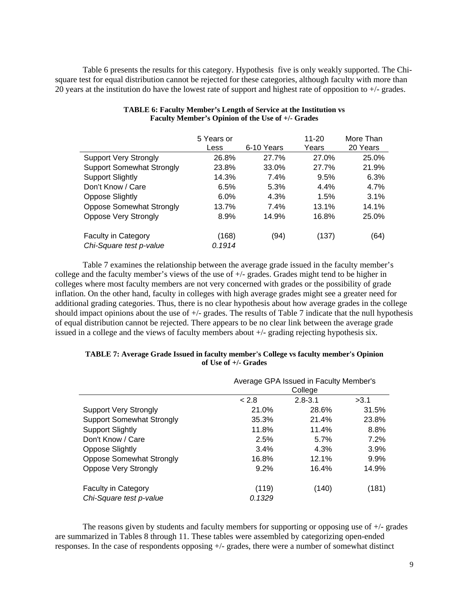Table 6 presents the results for this category. Hypothesis five is only weakly supported. The Chisquare test for equal distribution cannot be rejected for these categories, although faculty with more than 20 years at the institution do have the lowest rate of support and highest rate of opposition to +/- grades.

|                                  | 5 Years or<br>Less | 6-10 Years | $11 - 20$<br>Years | More Than<br>20 Years |
|----------------------------------|--------------------|------------|--------------------|-----------------------|
| <b>Support Very Strongly</b>     | 26.8%              | 27.7%      | 27.0%              | 25.0%                 |
| <b>Support Somewhat Strongly</b> | 23.8%              | 33.0%      | 27.7%              | 21.9%                 |
| <b>Support Slightly</b>          | 14.3%              | 7.4%       | 9.5%               | 6.3%                  |
| Don't Know / Care                | 6.5%               | 5.3%       | 4.4%               | 4.7%                  |
| <b>Oppose Slightly</b>           | 6.0%               | 4.3%       | 1.5%               | 3.1%                  |
| <b>Oppose Somewhat Strongly</b>  | 13.7%              | $7.4\%$    | 13.1%              | 14.1%                 |
| <b>Oppose Very Strongly</b>      | 8.9%               | 14.9%      | 16.8%              | 25.0%                 |
| <b>Faculty in Category</b>       | (168)              | (94)       | (137)              | (64)                  |
| Chi-Square test p-value          | 0.1914             |            |                    |                       |

## **TABLE 6: Faculty Member's Length of Service at the Institution vs Faculty Member's Opinion of the Use of +/- Grades**

Table 7 examines the relationship between the average grade issued in the faculty member's college and the faculty member's views of the use of +/- grades. Grades might tend to be higher in colleges where most faculty members are not very concerned with grades or the possibility of grade inflation. On the other hand, faculty in colleges with high average grades might see a greater need for additional grading categories. Thus, there is no clear hypothesis about how average grades in the college should impact opinions about the use of +/- grades. The results of Table 7 indicate that the null hypothesis of equal distribution cannot be rejected. There appears to be no clear link between the average grade issued in a college and the views of faculty members about +/- grading rejecting hypothesis six.

|                                  | Average GPA Issued in Faculty Member's<br>College |             |       |
|----------------------------------|---------------------------------------------------|-------------|-------|
|                                  | < 2.8                                             | $2.8 - 3.1$ | >3.1  |
| <b>Support Very Strongly</b>     | 21.0%                                             | 28.6%       | 31.5% |
| <b>Support Somewhat Strongly</b> | 35.3%                                             | 21.4%       | 23.8% |
| <b>Support Slightly</b>          | 11.8%                                             | 11.4%       | 8.8%  |
| Don't Know / Care                | 2.5%                                              | 5.7%        | 7.2%  |
| <b>Oppose Slightly</b>           | 3.4%                                              | 4.3%        | 3.9%  |
| <b>Oppose Somewhat Strongly</b>  | 16.8%                                             | 12.1%       | 9.9%  |
| <b>Oppose Very Strongly</b>      | 9.2%                                              | 16.4%       | 14.9% |
| <b>Faculty in Category</b>       | (119)                                             | (140)       | (181) |
| Chi-Square test p-value          | 0.1329                                            |             |       |

#### **TABLE 7: Average Grade Issued in faculty member's College vs faculty member's Opinion of Use of +/- Grades**

The reasons given by students and faculty members for supporting or opposing use of +/- grades are summarized in Tables 8 through 11. These tables were assembled by categorizing open-ended responses. In the case of respondents opposing +/- grades, there were a number of somewhat distinct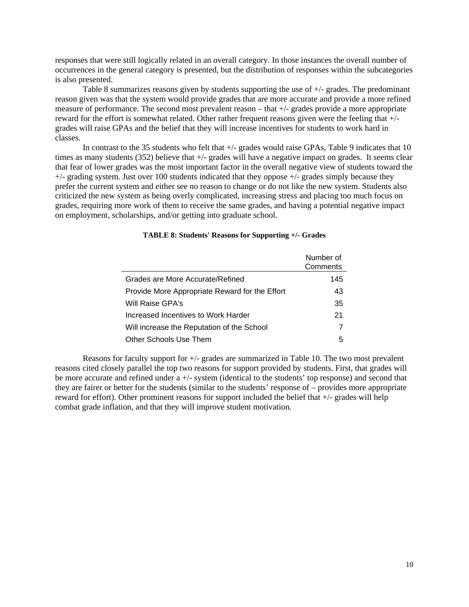responses that were still logically related in an overall category. In those instances the overall number of occurrences in the general category is presented, but the distribution of responses within the subcategories is also presented.

Table 8 summarizes reasons given by students supporting the use of +/- grades. The predominant reason given was that the system would provide grades that are more accurate and provide a more refined measure of performance. The second most prevalent reason – that +/- grades provide a more appropriate reward for the effort is somewhat related. Other rather frequent reasons given were the feeling that +/ grades will raise GPAs and the belief that they will increase incentives for students to work hard in classes.

In contrast to the 35 students who felt that  $+/-$  grades would raise GPAs, Table 9 indicates that 10 times as many students (352) believe that  $+/-$  grades will have a negative impact on grades. It seems clear that fear of lower grades was the most important factor in the overall negative view of students toward the +/- grading system. Just over 100 students indicated that they oppose +/- grades simply because they prefer the current system and either see no reason to change or do not like the new system. Students also criticized the new system as being overly complicated, increasing stress and placing too much focus on grades, requiring more work of them to receive the same grades, and having a potential negative impact on employment, scholarships, and/or getting into graduate school.

|                                                | Number of<br>Comments |
|------------------------------------------------|-----------------------|
| Grades are More Accurate/Refined               | 145                   |
| Provide More Appropriate Reward for the Effort | 43                    |
| Will Raise GPA's                               | 35                    |
| Increased Incentives to Work Harder            | 21                    |
| Will increase the Reputation of the School     | 7                     |
| Other Schools Use Them                         | 5                     |

# **TABLE 8: Students' Reasons for Supporting +/- Grades**

Reasons for faculty support for +/- grades are summarized in Table 10. The two most prevalent reasons cited closely parallel the top two reasons for support provided by students. First, that grades will be more accurate and refined under a +/- system (identical to the students' top response) and second that they are fairer or better for the students (similar to the students' response of – provides more appropriate reward for effort). Other prominent reasons for support included the belief that +/- grades will help combat grade inflation, and that they will improve student motivation.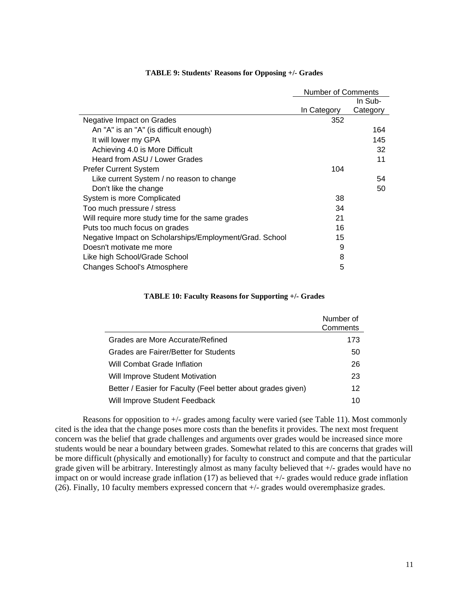|                                                         | Number of Comments |          |
|---------------------------------------------------------|--------------------|----------|
|                                                         |                    | In Sub-  |
|                                                         | In Category        | Category |
| Negative Impact on Grades                               | 352                |          |
| An "A" is an "A" (is difficult enough)                  |                    | 164      |
| It will lower my GPA                                    |                    | 145      |
| Achieving 4.0 is More Difficult                         |                    | 32       |
| Heard from ASU / Lower Grades                           |                    | 11       |
| <b>Prefer Current System</b>                            | 104                |          |
| Like current System / no reason to change               |                    | 54       |
| Don't like the change                                   |                    | 50       |
| System is more Complicated                              | 38                 |          |
| Too much pressure / stress                              | 34                 |          |
| Will require more study time for the same grades        | 21                 |          |
| Puts too much focus on grades                           | 16                 |          |
| Negative Impact on Scholarships/Employment/Grad. School | 15                 |          |
| Doesn't motivate me more                                | 9                  |          |
| Like high School/Grade School                           | 8                  |          |
| <b>Changes School's Atmosphere</b>                      | 5                  |          |

#### **TABLE 9: Students' Reasons for Opposing +/- Grades**

#### **TABLE 10: Faculty Reasons for Supporting +/- Grades**

|                                                              | Number of<br>Comments |
|--------------------------------------------------------------|-----------------------|
| Grades are More Accurate/Refined                             | 173                   |
| Grades are Fairer/Better for Students                        | 50                    |
| Will Combat Grade Inflation                                  | 26                    |
| Will Improve Student Motivation                              | 23                    |
| Better / Easier for Faculty (Feel better about grades given) | 12                    |
| Will Improve Student Feedback                                | 10                    |

Reasons for opposition to +/- grades among faculty were varied (see Table 11). Most commonly cited is the idea that the change poses more costs than the benefits it provides. The next most frequent concern was the belief that grade challenges and arguments over grades would be increased since more students would be near a boundary between grades. Somewhat related to this are concerns that grades will be more difficult (physically and emotionally) for faculty to construct and compute and that the particular grade given will be arbitrary. Interestingly almost as many faculty believed that +/- grades would have no impact on or would increase grade inflation (17) as believed that +/- grades would reduce grade inflation (26). Finally, 10 faculty members expressed concern that +/- grades would overemphasize grades.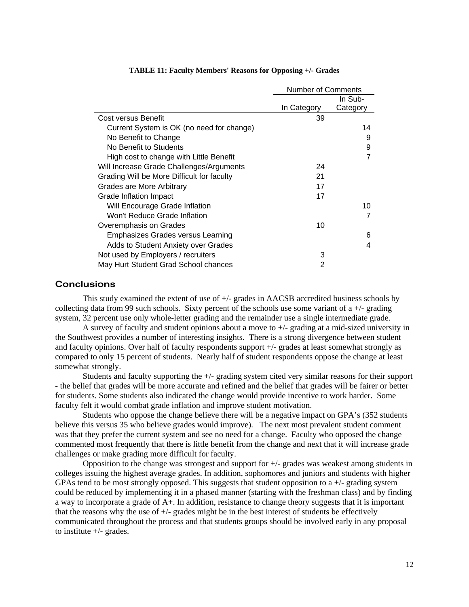|                                            | <b>Number of Comments</b> |          |
|--------------------------------------------|---------------------------|----------|
|                                            |                           | In Sub-  |
|                                            | In Category               | Category |
| Cost versus Benefit                        | 39                        |          |
| Current System is OK (no need for change)  |                           | 14       |
| No Benefit to Change                       |                           | 9        |
| No Benefit to Students                     |                           | 9        |
| High cost to change with Little Benefit    |                           | 7        |
| Will Increase Grade Challenges/Arguments   | 24                        |          |
| Grading Will be More Difficult for faculty | 21                        |          |
| Grades are More Arbitrary                  | 17                        |          |
| Grade Inflation Impact                     | 17                        |          |
| Will Encourage Grade Inflation             |                           | 10       |
| Won't Reduce Grade Inflation               |                           |          |
| Overemphasis on Grades                     | 10                        |          |
| Emphasizes Grades versus Learning          |                           | 6        |
| Adds to Student Anxiety over Grades        |                           | 4        |
| Not used by Employers / recruiters         | 3                         |          |
| May Hurt Student Grad School chances       | 2                         |          |

#### **TABLE 11: Faculty Members' Reasons for Opposing +/- Grades**

# **Conclusions**

This study examined the extent of use of +/- grades in AACSB accredited business schools by collecting data from 99 such schools. Sixty percent of the schools use some variant of  $a +/2$  grading system, 32 percent use only whole-letter grading and the remainder use a single intermediate grade.

A survey of faculty and student opinions about a move to +/- grading at a mid-sized university in the Southwest provides a number of interesting insights. There is a strong divergence between student and faculty opinions. Over half of faculty respondents support +/- grades at least somewhat strongly as compared to only 15 percent of students. Nearly half of student respondents oppose the change at least somewhat strongly.

 Students and faculty supporting the +/- grading system cited very similar reasons for their support - the belief that grades will be more accurate and refined and the belief that grades will be fairer or better for students. Some students also indicated the change would provide incentive to work harder. Some faculty felt it would combat grade inflation and improve student motivation.

 Students who oppose the change believe there will be a negative impact on GPA's (352 students believe this versus 35 who believe grades would improve). The next most prevalent student comment was that they prefer the current system and see no need for a change. Faculty who opposed the change commented most frequently that there is little benefit from the change and next that it will increase grade challenges or make grading more difficult for faculty.

Opposition to the change was strongest and support for +/- grades was weakest among students in colleges issuing the highest average grades. In addition, sophomores and juniors and students with higher GPAs tend to be most strongly opposed. This suggests that student opposition to a  $+/-$  grading system could be reduced by implementing it in a phased manner (starting with the freshman class) and by finding a way to incorporate a grade of A+. In addition, resistance to change theory suggests that it is important that the reasons why the use of +/- grades might be in the best interest of students be effectively communicated throughout the process and that students groups should be involved early in any proposal to institute +/- grades.